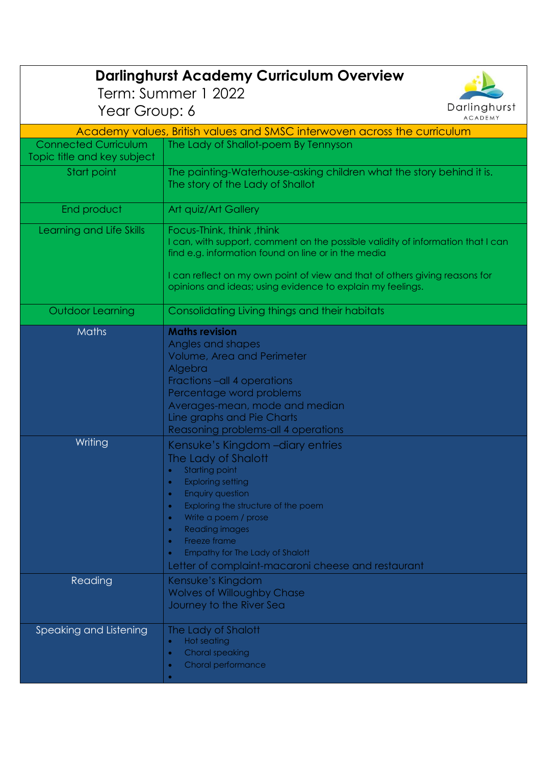|                                                            | <b>Darlinghurst Academy Curriculum Overview</b>                                                                                                                                                                                                                                                                                                                                                                     |
|------------------------------------------------------------|---------------------------------------------------------------------------------------------------------------------------------------------------------------------------------------------------------------------------------------------------------------------------------------------------------------------------------------------------------------------------------------------------------------------|
| Term: Summer 1 2022<br>Darlinghurst                        |                                                                                                                                                                                                                                                                                                                                                                                                                     |
| Year Group: 6<br><b>ACADEMY</b>                            |                                                                                                                                                                                                                                                                                                                                                                                                                     |
|                                                            | Academy values, British values and SMSC interwoven across the curriculum                                                                                                                                                                                                                                                                                                                                            |
| <b>Connected Curriculum</b><br>Topic title and key subject | The Lady of Shallot-poem By Tennyson                                                                                                                                                                                                                                                                                                                                                                                |
| Start point                                                | The painting-Waterhouse-asking children what the story behind it is.<br>The story of the Lady of Shallot                                                                                                                                                                                                                                                                                                            |
| End product                                                | Art quiz/Art Gallery                                                                                                                                                                                                                                                                                                                                                                                                |
| Learning and Life Skills                                   | Focus-Think, think, think<br>I can, with support, comment on the possible validity of information that I can<br>find e.g. information found on line or in the media<br>I can reflect on my own point of view and that of others giving reasons for<br>opinions and ideas; using evidence to explain my feelings.                                                                                                    |
| <b>Outdoor Learning</b>                                    | Consolidating Living things and their habitats                                                                                                                                                                                                                                                                                                                                                                      |
| <b>Maths</b>                                               | <b>Maths revision</b>                                                                                                                                                                                                                                                                                                                                                                                               |
|                                                            | Angles and shapes<br><b>Volume, Area and Perimeter</b><br>Algebra<br>Fractions - all 4 operations<br>Percentage word problems<br>Averages-mean, mode and median<br>Line graphs and Pie Charts<br>Reasoning problems-all 4 operations                                                                                                                                                                                |
| Writing                                                    | Kensuke's Kingdom - diary entries                                                                                                                                                                                                                                                                                                                                                                                   |
|                                                            | The Lady of Shalott<br><b>Starting point</b><br>$\bullet$<br><b>Exploring setting</b><br>$\bullet$<br><b>Enquiry question</b><br>$\bullet$<br>Exploring the structure of the poem<br>$\bullet$<br>Write a poem / prose<br>$\bullet$<br><b>Reading images</b><br>$\bullet$<br>Freeze frame<br>$\bullet$<br><b>Empathy for The Lady of Shalott</b><br>$\bullet$<br>Letter of complaint-macaroni cheese and restaurant |
| Reading                                                    | Kensuke's Kingdom<br><b>Wolves of Willoughby Chase</b><br>Journey to the River Sea                                                                                                                                                                                                                                                                                                                                  |
| Speaking and Listening                                     | The Lady of Shalott<br><b>Hot seating</b><br>$\bullet$<br><b>Choral speaking</b><br>$\bullet$<br>Choral performance<br>$\bullet$                                                                                                                                                                                                                                                                                    |